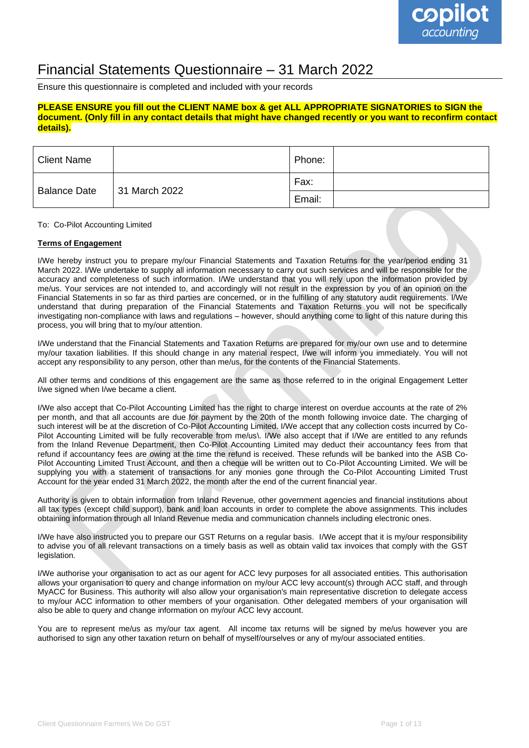## Financial Statements Questionnaire – 31 March 2022

Ensure this questionnaire is completed and included with your records

#### **PLEASE ENSURE you fill out the CLIENT NAME box & get ALL APPROPRIATE SIGNATORIES to SIGN the document. (Only fill in any contact details that might have changed recently or you want to reconfirm contact details).**

| <b>Client Name</b>  |               | Phone: |  |
|---------------------|---------------|--------|--|
| <b>Balance Date</b> | 31 March 2022 | Fax:   |  |
|                     |               | Email: |  |

To: Co-Pilot Accounting Limited

#### **Terms of Engagement**

I/We hereby instruct you to prepare my/our Financial Statements and Taxation Returns for the year/period ending 31 March 2022. I/We undertake to supply all information necessary to carry out such services and will be responsible for the accuracy and completeness of such information. I/We understand that you will rely upon the information provided by me/us. Your services are not intended to, and accordingly will not result in the expression by you of an opinion on the Financial Statements in so far as third parties are concerned, or in the fulfilling of any statutory audit requirements. I/We understand that during preparation of the Financial Statements and Taxation Returns you will not be specifically investigating non-compliance with laws and regulations – however, should anything come to light of this nature during this process, you will bring that to my/our attention.

I/We understand that the Financial Statements and Taxation Returns are prepared for my/our own use and to determine my/our taxation liabilities. If this should change in any material respect, I/we will inform you immediately. You will not accept any responsibility to any person, other than me/us, for the contents of the Financial Statements.

All other terms and conditions of this engagement are the same as those referred to in the original Engagement Letter I/we signed when I/we became a client.

I/We also accept that Co-Pilot Accounting Limited has the right to charge interest on overdue accounts at the rate of 2% per month, and that all accounts are due for payment by the 20th of the month following invoice date. The charging of such interest will be at the discretion of Co-Pilot Accounting Limited. I/We accept that any collection costs incurred by Co-Pilot Accounting Limited will be fully recoverable from me/us\. I/We also accept that if I/We are entitled to any refunds from the Inland Revenue Department, then Co-Pilot Accounting Limited may deduct their accountancy fees from that refund if accountancy fees are owing at the time the refund is received. These refunds will be banked into the ASB Co-Pilot Accounting Limited Trust Account, and then a cheque will be written out to Co-Pilot Accounting Limited. We will be supplying you with a statement of transactions for any monies gone through the Co-Pilot Accounting Limited Trust Account for the year ended 31 March 2022, the month after the end of the current financial year.

Authority is given to obtain information from Inland Revenue, other government agencies and financial institutions about all tax types (except child support), bank and loan accounts in order to complete the above assignments. This includes obtaining information through all Inland Revenue media and communication channels including electronic ones.

I/We have also instructed you to prepare our GST Returns on a regular basis. I/We accept that it is my/our responsibility to advise you of all relevant transactions on a timely basis as well as obtain valid tax invoices that comply with the GST legislation.

I/We authorise your organisation to act as our agent for ACC levy purposes for all associated entities. This authorisation allows your organisation to query and change information on my/our ACC levy account(s) through ACC staff, and through MyACC for Business. This authority will also allow your organisation's main representative discretion to delegate access to my/our ACC information to other members of your organisation. Other delegated members of your organisation will also be able to query and change information on my/our ACC levy account.

You are to represent me/us as my/our tax agent. All income tax returns will be signed by me/us however you are authorised to sign any other taxation return on behalf of myself/ourselves or any of my/our associated entities.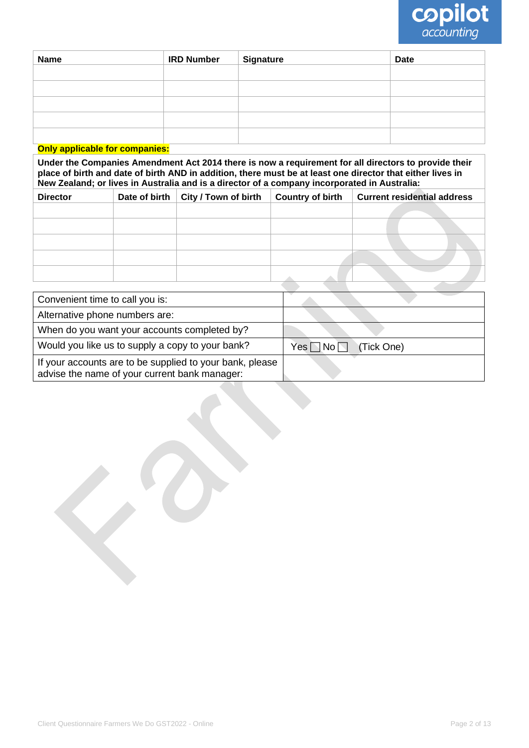

| <b>Name</b> | <b>IRD Number</b> | <b>Signature</b> | <b>Date</b> |
|-------------|-------------------|------------------|-------------|
|             |                   |                  |             |
|             |                   |                  |             |
|             |                   |                  |             |
|             |                   |                  |             |
|             |                   |                  |             |
|             |                   |                  |             |

### **Only applicable for companies:**

**Under the Companies Amendment Act 2014 there is now a requirement for all directors to provide their place of birth and date of birth AND in addition, there must be at least one director that either lives in New Zealand; or lives in Australia and is a director of a company incorporated in Australia:**

| <b>Director</b> | Date of birth   City / Town of birth | <b>Country of birth</b> | <b>Current residential address</b> |
|-----------------|--------------------------------------|-------------------------|------------------------------------|
|                 |                                      |                         |                                    |
|                 |                                      |                         |                                    |
|                 |                                      |                         |                                    |
|                 |                                      |                         |                                    |
|                 |                                      |                         |                                    |

| Convenient time to call you is:                                                                           |                                  |
|-----------------------------------------------------------------------------------------------------------|----------------------------------|
| Alternative phone numbers are:                                                                            |                                  |
| When do you want your accounts completed by?                                                              |                                  |
| Would you like us to supply a copy to your bank?                                                          | $Yes \Box No \Box$<br>(Tick One) |
| If your accounts are to be supplied to your bank, please<br>advise the name of your current bank manager: |                                  |
|                                                                                                           |                                  |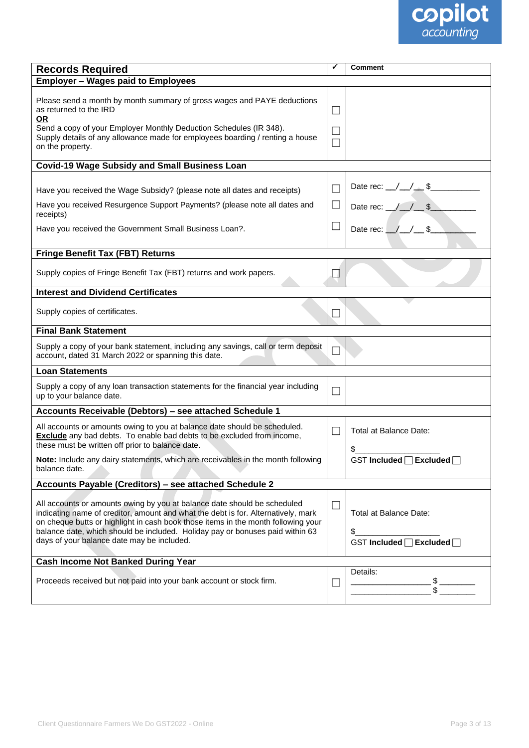

| <b>Records Required</b>                                                                                                                                                                                                                                                                                                                                                           | ✓             | <b>Comment</b>                                                                                            |
|-----------------------------------------------------------------------------------------------------------------------------------------------------------------------------------------------------------------------------------------------------------------------------------------------------------------------------------------------------------------------------------|---------------|-----------------------------------------------------------------------------------------------------------|
| <b>Employer - Wages paid to Employees</b>                                                                                                                                                                                                                                                                                                                                         |               |                                                                                                           |
| Please send a month by month summary of gross wages and PAYE deductions<br>as returned to the IRD<br><b>OR</b><br>Send a copy of your Employer Monthly Deduction Schedules (IR 348).<br>Supply details of any allowance made for employees boarding / renting a house<br>on the property.                                                                                         | ×.            |                                                                                                           |
| <b>Covid-19 Wage Subsidy and Small Business Loan</b>                                                                                                                                                                                                                                                                                                                              |               |                                                                                                           |
| Have you received the Wage Subsidy? (please note all dates and receipts)<br>Have you received Resurgence Support Payments? (please note all dates and<br>receipts)<br>Have you received the Government Small Business Loan?.                                                                                                                                                      |               | Date rec: $\angle$ $\angle$ $\angle$ \$<br>Date rec: $\angle$ $\angle$ $\angle$ \$<br>Date rec: $/ / $ \$ |
| <b>Fringe Benefit Tax (FBT) Returns</b>                                                                                                                                                                                                                                                                                                                                           |               |                                                                                                           |
| Supply copies of Fringe Benefit Tax (FBT) returns and work papers.                                                                                                                                                                                                                                                                                                                |               |                                                                                                           |
| <b>Interest and Dividend Certificates</b>                                                                                                                                                                                                                                                                                                                                         |               |                                                                                                           |
| Supply copies of certificates.                                                                                                                                                                                                                                                                                                                                                    |               |                                                                                                           |
| <b>Final Bank Statement</b>                                                                                                                                                                                                                                                                                                                                                       |               |                                                                                                           |
| Supply a copy of your bank statement, including any savings, call or term deposit<br>account, dated 31 March 2022 or spanning this date.                                                                                                                                                                                                                                          |               |                                                                                                           |
| <b>Loan Statements</b>                                                                                                                                                                                                                                                                                                                                                            |               |                                                                                                           |
| Supply a copy of any loan transaction statements for the financial year including<br>up to your balance date.                                                                                                                                                                                                                                                                     | ×             |                                                                                                           |
| Accounts Receivable (Debtors) - see attached Schedule 1                                                                                                                                                                                                                                                                                                                           |               |                                                                                                           |
| All accounts or amounts owing to you at balance date should be scheduled.<br><b>Exclude</b> any bad debts. To enable bad debts to be excluded from income,<br>these must be written off prior to balance date.                                                                                                                                                                    |               | Total at Balance Date:                                                                                    |
| Note: Include any dairy statements, which are receivables in the month following<br>balance date.                                                                                                                                                                                                                                                                                 |               | GST Included □ Excluded □                                                                                 |
| Accounts Payable (Creditors) - see attached Schedule 2                                                                                                                                                                                                                                                                                                                            |               |                                                                                                           |
| All accounts or amounts owing by you at balance date should be scheduled<br>indicating name of creditor, amount and what the debt is for. Alternatively, mark<br>on cheque butts or highlight in cash book those items in the month following your<br>balance date, which should be included. Holiday pay or bonuses paid within 63<br>days of your balance date may be included. | $\mathcal{L}$ | Total at Balance Date:<br>\$.<br>GST Included □ Excluded □                                                |
| <b>Cash Income Not Banked During Year</b>                                                                                                                                                                                                                                                                                                                                         |               |                                                                                                           |
| Proceeds received but not paid into your bank account or stock firm.                                                                                                                                                                                                                                                                                                              |               | Details:<br>$-\frac{1}{3}$                                                                                |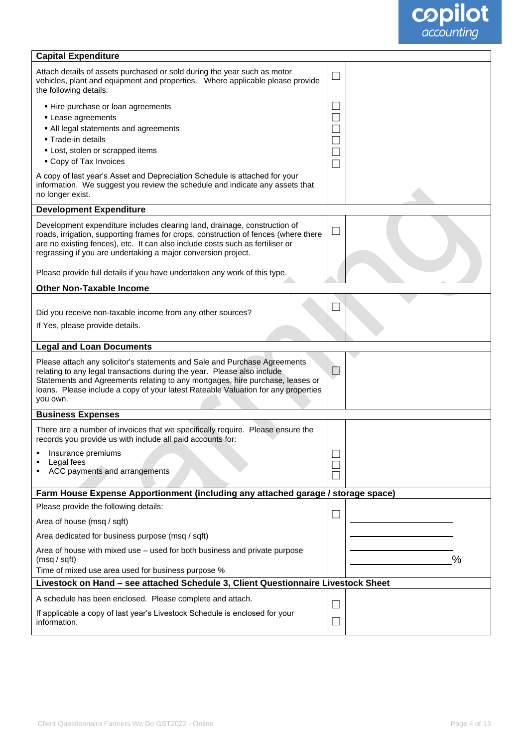

| <b>Capital Expenditure</b>                                                                                                                                                                                                                                                                                                                                                                      |        |   |
|-------------------------------------------------------------------------------------------------------------------------------------------------------------------------------------------------------------------------------------------------------------------------------------------------------------------------------------------------------------------------------------------------|--------|---|
| Attach details of assets purchased or sold during the year such as motor<br>vehicles, plant and equipment and properties.  Where applicable please provide<br>the following details:                                                                                                                                                                                                            | $\Box$ |   |
| - Hire purchase or loan agreements<br>• Lease agreements<br>• All legal statements and agreements<br>- Trade-in details<br>• Lost, stolen or scrapped items<br>• Copy of Tax Invoices                                                                                                                                                                                                           | L.     |   |
| A copy of last year's Asset and Depreciation Schedule is attached for your<br>information. We suggest you review the schedule and indicate any assets that<br>no longer exist.                                                                                                                                                                                                                  |        |   |
| <b>Development Expenditure</b>                                                                                                                                                                                                                                                                                                                                                                  |        |   |
| Development expenditure includes clearing land, drainage, construction of<br>roads, irrigation, supporting frames for crops, construction of fences (where there<br>are no existing fences), etc. It can also include costs such as fertiliser or<br>regrassing if you are undertaking a major conversion project.<br>Please provide full details if you have undertaken any work of this type. | $\Box$ |   |
| <b>Other Non-Taxable Income</b>                                                                                                                                                                                                                                                                                                                                                                 |        |   |
| Did you receive non-taxable income from any other sources?<br>If Yes, please provide details.                                                                                                                                                                                                                                                                                                   |        |   |
| <b>Legal and Loan Documents</b>                                                                                                                                                                                                                                                                                                                                                                 |        |   |
| Please attach any solicitor's statements and Sale and Purchase Agreements<br>relating to any legal transactions during the year. Please also include<br>Statements and Agreements relating to any mortgages, hire purchase, leases or<br>loans. Please include a copy of your latest Rateable Valuation for any properties<br>you own.                                                          | $\Box$ |   |
| <b>Business Expenses</b>                                                                                                                                                                                                                                                                                                                                                                        |        |   |
| There are a number of invoices that we specifically require. Please ensure the<br>records you provide us with include all paid accounts for:<br>Insurance premiums<br>Legal fees<br>ACC payments and arrangements                                                                                                                                                                               |        |   |
|                                                                                                                                                                                                                                                                                                                                                                                                 |        |   |
| Farm House Expense Apportionment (including any attached garage / storage space)                                                                                                                                                                                                                                                                                                                |        |   |
| Please provide the following details:                                                                                                                                                                                                                                                                                                                                                           | ∟      |   |
| Area of house (msq / sqft)                                                                                                                                                                                                                                                                                                                                                                      |        |   |
| Area dedicated for business purpose (msq / sqft)                                                                                                                                                                                                                                                                                                                                                |        |   |
| Area of house with mixed use - used for both business and private purpose<br>(msq / sqft)<br>Time of mixed use area used for business purpose %                                                                                                                                                                                                                                                 |        | % |
| Livestock on Hand - see attached Schedule 3, Client Questionnaire Livestock Sheet                                                                                                                                                                                                                                                                                                               |        |   |
| A schedule has been enclosed. Please complete and attach.                                                                                                                                                                                                                                                                                                                                       |        |   |
| If applicable a copy of last year's Livestock Schedule is enclosed for your<br>information.                                                                                                                                                                                                                                                                                                     |        |   |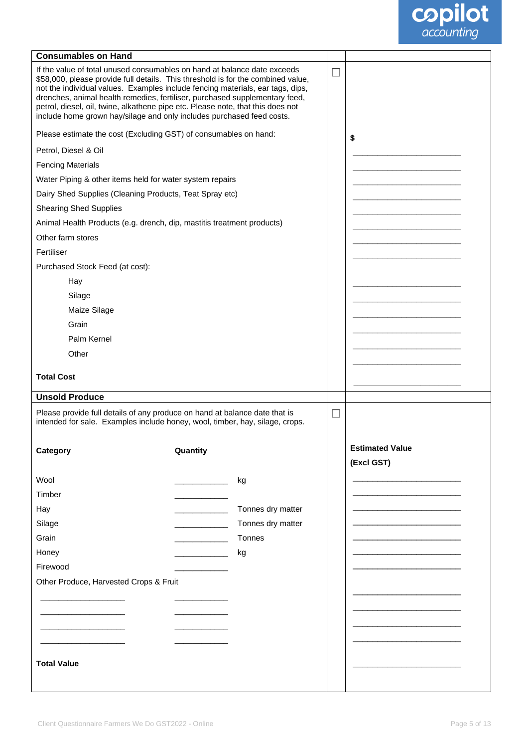

| <b>Consumables on Hand</b>                                                                                                                                                                                                                                                                                                                                                                                                                                                                |          |                                        |        |                                      |
|-------------------------------------------------------------------------------------------------------------------------------------------------------------------------------------------------------------------------------------------------------------------------------------------------------------------------------------------------------------------------------------------------------------------------------------------------------------------------------------------|----------|----------------------------------------|--------|--------------------------------------|
| If the value of total unused consumables on hand at balance date exceeds<br>\$58,000, please provide full details. This threshold is for the combined value,<br>not the individual values. Examples include fencing materials, ear tags, dips,<br>drenches, animal health remedies, fertiliser, purchased supplementary feed,<br>petrol, diesel, oil, twine, alkathene pipe etc. Please note, that this does not<br>include home grown hay/silage and only includes purchased feed costs. |          |                                        |        |                                      |
| Please estimate the cost (Excluding GST) of consumables on hand:                                                                                                                                                                                                                                                                                                                                                                                                                          |          |                                        |        | \$                                   |
| Petrol, Diesel & Oil                                                                                                                                                                                                                                                                                                                                                                                                                                                                      |          |                                        |        |                                      |
| <b>Fencing Materials</b>                                                                                                                                                                                                                                                                                                                                                                                                                                                                  |          |                                        |        |                                      |
| Water Piping & other items held for water system repairs                                                                                                                                                                                                                                                                                                                                                                                                                                  |          |                                        |        |                                      |
| Dairy Shed Supplies (Cleaning Products, Teat Spray etc)                                                                                                                                                                                                                                                                                                                                                                                                                                   |          |                                        |        |                                      |
| <b>Shearing Shed Supplies</b>                                                                                                                                                                                                                                                                                                                                                                                                                                                             |          |                                        |        |                                      |
| Animal Health Products (e.g. drench, dip, mastitis treatment products)                                                                                                                                                                                                                                                                                                                                                                                                                    |          |                                        |        |                                      |
| Other farm stores                                                                                                                                                                                                                                                                                                                                                                                                                                                                         |          |                                        |        |                                      |
| Fertiliser                                                                                                                                                                                                                                                                                                                                                                                                                                                                                |          |                                        |        |                                      |
| Purchased Stock Feed (at cost):                                                                                                                                                                                                                                                                                                                                                                                                                                                           |          |                                        |        |                                      |
| Hay                                                                                                                                                                                                                                                                                                                                                                                                                                                                                       |          |                                        |        |                                      |
| Silage                                                                                                                                                                                                                                                                                                                                                                                                                                                                                    |          |                                        |        |                                      |
| Maize Silage                                                                                                                                                                                                                                                                                                                                                                                                                                                                              |          |                                        |        |                                      |
| Grain                                                                                                                                                                                                                                                                                                                                                                                                                                                                                     |          |                                        |        |                                      |
| Palm Kernel                                                                                                                                                                                                                                                                                                                                                                                                                                                                               |          |                                        |        |                                      |
| Other                                                                                                                                                                                                                                                                                                                                                                                                                                                                                     |          |                                        |        |                                      |
| <b>Total Cost</b>                                                                                                                                                                                                                                                                                                                                                                                                                                                                         |          |                                        |        |                                      |
|                                                                                                                                                                                                                                                                                                                                                                                                                                                                                           |          |                                        |        |                                      |
| <b>Unsold Produce</b>                                                                                                                                                                                                                                                                                                                                                                                                                                                                     |          |                                        |        |                                      |
| Please provide full details of any produce on hand at balance date that is<br>intended for sale. Examples include honey, wool, timber, hay, silage, crops.                                                                                                                                                                                                                                                                                                                                |          |                                        | $\Box$ |                                      |
| Category                                                                                                                                                                                                                                                                                                                                                                                                                                                                                  | Quantity |                                        |        | <b>Estimated Value</b><br>(Excl GST) |
|                                                                                                                                                                                                                                                                                                                                                                                                                                                                                           |          |                                        |        |                                      |
| Wool<br>Timber                                                                                                                                                                                                                                                                                                                                                                                                                                                                            |          | kg                                     |        |                                      |
|                                                                                                                                                                                                                                                                                                                                                                                                                                                                                           |          |                                        |        |                                      |
| Hay<br>Silage                                                                                                                                                                                                                                                                                                                                                                                                                                                                             |          | Tonnes dry matter<br>Tonnes dry matter |        |                                      |
| Grain                                                                                                                                                                                                                                                                                                                                                                                                                                                                                     |          | Tonnes                                 |        |                                      |
| Honey                                                                                                                                                                                                                                                                                                                                                                                                                                                                                     |          | kg                                     |        |                                      |
| Firewood                                                                                                                                                                                                                                                                                                                                                                                                                                                                                  |          |                                        |        |                                      |
| Other Produce, Harvested Crops & Fruit                                                                                                                                                                                                                                                                                                                                                                                                                                                    |          |                                        |        |                                      |
|                                                                                                                                                                                                                                                                                                                                                                                                                                                                                           |          |                                        |        |                                      |
|                                                                                                                                                                                                                                                                                                                                                                                                                                                                                           |          |                                        |        |                                      |
|                                                                                                                                                                                                                                                                                                                                                                                                                                                                                           |          |                                        |        |                                      |
|                                                                                                                                                                                                                                                                                                                                                                                                                                                                                           |          |                                        |        |                                      |
|                                                                                                                                                                                                                                                                                                                                                                                                                                                                                           |          |                                        |        |                                      |
| <b>Total Value</b>                                                                                                                                                                                                                                                                                                                                                                                                                                                                        |          |                                        |        |                                      |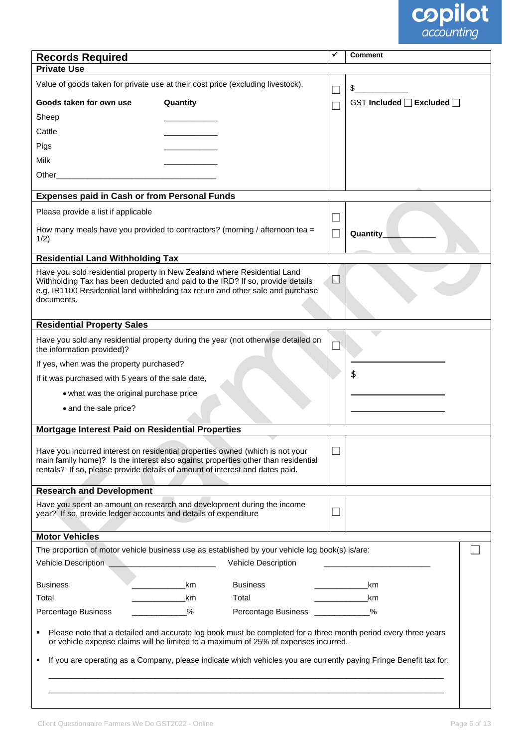

| <b>Records Required</b>                                                                                                                                                                                                                                    |                                              |                     |   | <b>Comment</b>            |  |
|------------------------------------------------------------------------------------------------------------------------------------------------------------------------------------------------------------------------------------------------------------|----------------------------------------------|---------------------|---|---------------------------|--|
| <b>Private Use</b>                                                                                                                                                                                                                                         |                                              |                     |   |                           |  |
| Value of goods taken for private use at their cost price (excluding livestock).                                                                                                                                                                            |                                              |                     |   |                           |  |
| Goods taken for own use                                                                                                                                                                                                                                    | Quantity                                     |                     |   | GST Included [ Excluded [ |  |
| Sheep                                                                                                                                                                                                                                                      |                                              |                     |   |                           |  |
| Cattle                                                                                                                                                                                                                                                     |                                              |                     |   |                           |  |
| Pigs                                                                                                                                                                                                                                                       |                                              |                     |   |                           |  |
| Milk                                                                                                                                                                                                                                                       |                                              |                     |   |                           |  |
| Other                                                                                                                                                                                                                                                      |                                              |                     |   |                           |  |
| <b>Expenses paid in Cash or from Personal Funds</b>                                                                                                                                                                                                        |                                              |                     |   |                           |  |
| Please provide a list if applicable                                                                                                                                                                                                                        |                                              |                     |   |                           |  |
| How many meals have you provided to contractors? (morning / afternoon tea $=$<br>1/2)                                                                                                                                                                      |                                              |                     |   | <b>Quantity</b>           |  |
| <b>Residential Land Withholding Tax</b>                                                                                                                                                                                                                    |                                              |                     |   |                           |  |
| Have you sold residential property in New Zealand where Residential Land<br>Withholding Tax has been deducted and paid to the IRD? If so, provide details<br>e.g. IR1100 Residential land withholding tax return and other sale and purchase<br>documents. |                                              |                     | N |                           |  |
| <b>Residential Property Sales</b>                                                                                                                                                                                                                          |                                              |                     |   |                           |  |
| Have you sold any residential property during the year (not otherwise detailed on<br>the information provided)?                                                                                                                                            |                                              |                     |   |                           |  |
| If yes, when was the property purchased?                                                                                                                                                                                                                   |                                              |                     |   |                           |  |
| If it was purchased with 5 years of the sale date,                                                                                                                                                                                                         |                                              |                     |   | \$                        |  |
| • what was the original purchase price                                                                                                                                                                                                                     |                                              |                     |   |                           |  |
| • and the sale price?                                                                                                                                                                                                                                      |                                              |                     |   |                           |  |
| Mortgage Interest Paid on Residential Properties                                                                                                                                                                                                           |                                              |                     |   |                           |  |
| Have you incurred interest on residential properties owned (which is not your<br>main family home)? Is the interest also against properties other than residential<br>rentals? If so, please provide details of amount of interest and dates paid.         |                                              |                     |   |                           |  |
|                                                                                                                                                                                                                                                            |                                              |                     |   |                           |  |
| <b>Research and Development</b>                                                                                                                                                                                                                            |                                              |                     |   |                           |  |
| Have you spent an amount on research and development during the income<br>year? If so, provide ledger accounts and details of expenditure                                                                                                                  |                                              |                     |   |                           |  |
| <b>Motor Vehicles</b>                                                                                                                                                                                                                                      |                                              |                     |   |                           |  |
| The proportion of motor vehicle business use as established by your vehicle log book(s) is/are:                                                                                                                                                            |                                              |                     |   |                           |  |
| Vehicle Description                                                                                                                                                                                                                                        | <u> 1990 - Johann Marie Barn, mars an t-</u> | Vehicle Description |   |                           |  |
| <b>Business</b>                                                                                                                                                                                                                                            | km                                           | <b>Business</b>     |   | km                        |  |
| Total                                                                                                                                                                                                                                                      | km                                           | Total               |   | km                        |  |
| <b>Percentage Business</b>                                                                                                                                                                                                                                 | %                                            | Percentage Business |   | %                         |  |
| Please note that a detailed and accurate log book must be completed for a three month period every three years<br>or vehicle expense claims will be limited to a maximum of 25% of expenses incurred.                                                      |                                              |                     |   |                           |  |
| If you are operating as a Company, please indicate which vehicles you are currently paying Fringe Benefit tax for:                                                                                                                                         |                                              |                     |   |                           |  |
|                                                                                                                                                                                                                                                            |                                              |                     |   |                           |  |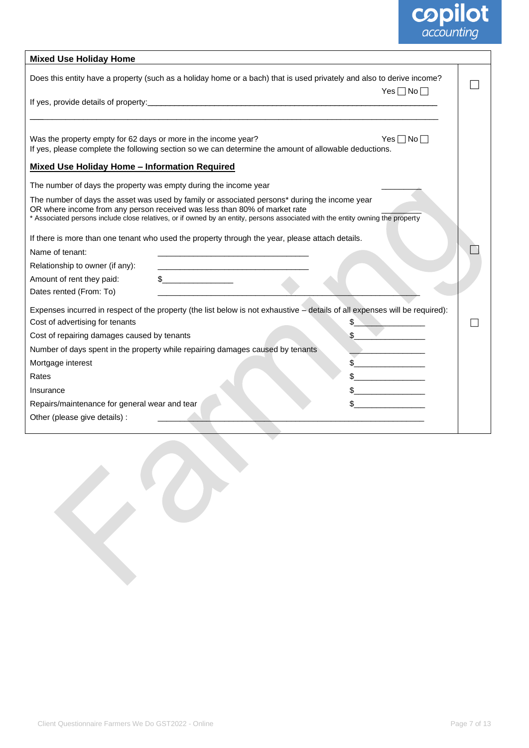

| <b>Mixed Use Holiday Home</b>                                                                                                                                                                                                                                                                                |                    |
|--------------------------------------------------------------------------------------------------------------------------------------------------------------------------------------------------------------------------------------------------------------------------------------------------------------|--------------------|
| Does this entity have a property (such as a holiday home or a bach) that is used privately and also to derive income?                                                                                                                                                                                        | $Yes \Box No \Box$ |
|                                                                                                                                                                                                                                                                                                              |                    |
|                                                                                                                                                                                                                                                                                                              |                    |
| Was the property empty for 62 days or more in the income year?<br>If yes, please complete the following section so we can determine the amount of allowable deductions.                                                                                                                                      | $Yes \Box No \Box$ |
| <b>Mixed Use Holiday Home - Information Required</b>                                                                                                                                                                                                                                                         |                    |
| The number of days the property was empty during the income year                                                                                                                                                                                                                                             |                    |
| The number of days the asset was used by family or associated persons* during the income year<br>OR where income from any person received was less than 80% of market rate<br>* Associated persons include close relatives, or if owned by an entity, persons associated with the entity owning the property |                    |
| If there is more than one tenant who used the property through the year, please attach details.                                                                                                                                                                                                              |                    |
| Name of tenant:                                                                                                                                                                                                                                                                                              |                    |
| Relationship to owner (if any):<br><u> 1980 - Johann John Harry Harry Harry Harry Harry Harry Harry Harry Harry Harry Harry Harry Harry Harry Harry H</u>                                                                                                                                                    |                    |
| Amount of rent they paid:                                                                                                                                                                                                                                                                                    |                    |
| Dates rented (From: To)                                                                                                                                                                                                                                                                                      |                    |
| Expenses incurred in respect of the property (the list below is not exhaustive - details of all expenses will be required):                                                                                                                                                                                  |                    |
| Cost of advertising for tenants                                                                                                                                                                                                                                                                              | \$                 |
| Cost of repairing damages caused by tenants                                                                                                                                                                                                                                                                  | \$                 |
| Number of days spent in the property while repairing damages caused by tenants                                                                                                                                                                                                                               |                    |
| Mortgage interest                                                                                                                                                                                                                                                                                            | \$                 |
| Rates                                                                                                                                                                                                                                                                                                        |                    |
| Insurance                                                                                                                                                                                                                                                                                                    |                    |
| Repairs/maintenance for general wear and tear                                                                                                                                                                                                                                                                |                    |
| Other (please give details) :                                                                                                                                                                                                                                                                                |                    |
|                                                                                                                                                                                                                                                                                                              |                    |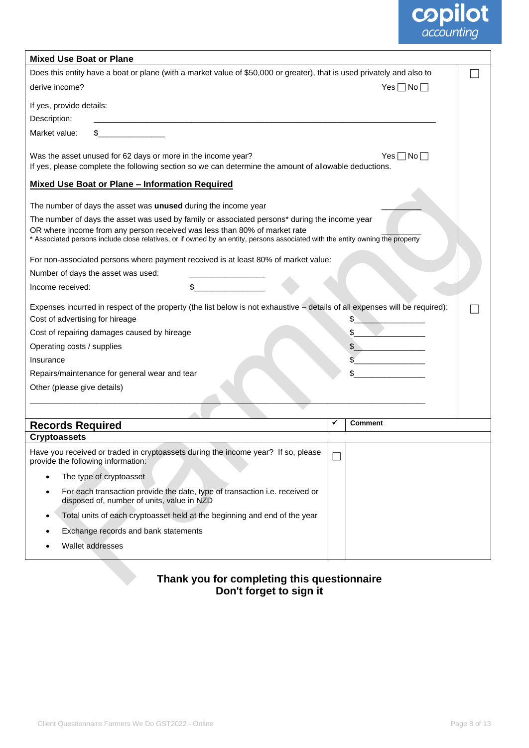

| <b>Mixed Use Boat or Plane</b>                                                                                                                                             |        |                    |  |
|----------------------------------------------------------------------------------------------------------------------------------------------------------------------------|--------|--------------------|--|
| Does this entity have a boat or plane (with a market value of \$50,000 or greater), that is used privately and also to                                                     |        |                    |  |
| derive income?                                                                                                                                                             |        | $Yes \Box No \Box$ |  |
| If yes, provide details:                                                                                                                                                   |        |                    |  |
| Description:                                                                                                                                                               |        |                    |  |
| <u> 1990 - Jan Barnett</u><br>Market value:                                                                                                                                |        |                    |  |
| Was the asset unused for 62 days or more in the income year?<br>If yes, please complete the following section so we can determine the amount of allowable deductions.      |        | $Yes \Box No \Box$ |  |
| <b>Mixed Use Boat or Plane - Information Required</b>                                                                                                                      |        |                    |  |
|                                                                                                                                                                            |        |                    |  |
| The number of days the asset was unused during the income year                                                                                                             |        |                    |  |
| The number of days the asset was used by family or associated persons* during the income year<br>OR where income from any person received was less than 80% of market rate |        |                    |  |
| * Associated persons include close relatives, or if owned by an entity, persons associated with the entity owning the property                                             |        |                    |  |
| For non-associated persons where payment received is at least 80% of market value:                                                                                         |        |                    |  |
| Number of days the asset was used:                                                                                                                                         |        |                    |  |
| Income received:                                                                                                                                                           |        |                    |  |
| Expenses incurred in respect of the property (the list below is not exhaustive - details of all expenses will be required):                                                |        |                    |  |
| Cost of advertising for hireage                                                                                                                                            |        | \$                 |  |
| Cost of repairing damages caused by hireage                                                                                                                                |        | \$                 |  |
| Operating costs / supplies                                                                                                                                                 |        |                    |  |
| Insurance                                                                                                                                                                  |        |                    |  |
| Repairs/maintenance for general wear and tear                                                                                                                              |        |                    |  |
| Other (please give details)                                                                                                                                                |        |                    |  |
|                                                                                                                                                                            |        |                    |  |
| <b>Records Required</b>                                                                                                                                                    | ✔      | <b>Comment</b>     |  |
| <b>Cryptoassets</b>                                                                                                                                                        |        |                    |  |
| Have you received or traded in cryptoassets during the income year? If so, please<br>provide the following information:                                                    | $\Box$ |                    |  |
| The type of cryptoasset                                                                                                                                                    |        |                    |  |
| For each transaction provide the date, type of transaction i.e. received or<br>$\bullet$<br>disposed of, number of units, value in NZD                                     |        |                    |  |
| Total units of each cryptoasset held at the beginning and end of the year<br>٠                                                                                             |        |                    |  |
| Exchange records and bank statements                                                                                                                                       |        |                    |  |
| Wallet addresses                                                                                                                                                           |        |                    |  |
|                                                                                                                                                                            |        |                    |  |

### **Thank you for completing this questionnaire Don't forget to sign it**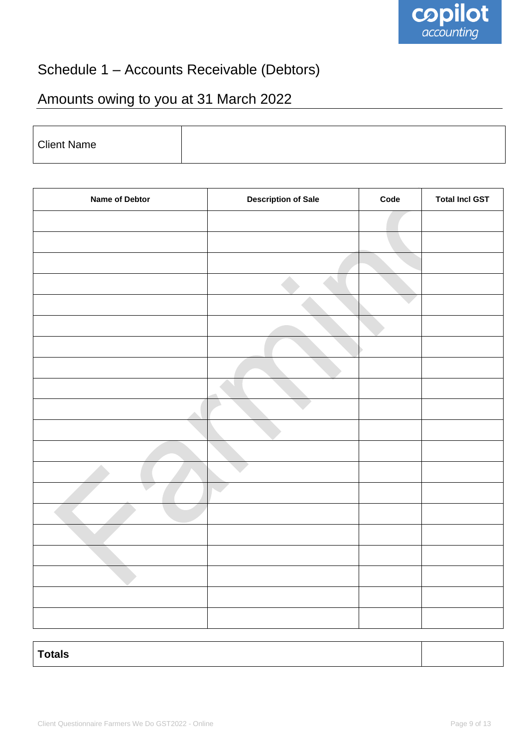

## Schedule 1 – Accounts Receivable (Debtors)

# Amounts owing to you at 31 March 2022

| <b>Client Name</b> |  |
|--------------------|--|
|                    |  |

| Name of Debtor | <b>Description of Sale</b> | Code | <b>Total Incl GST</b> |
|----------------|----------------------------|------|-----------------------|
|                |                            |      |                       |
|                |                            |      |                       |
|                |                            |      |                       |
|                |                            |      |                       |
|                |                            |      |                       |
|                |                            |      |                       |
|                |                            |      |                       |
|                |                            |      |                       |
|                |                            |      |                       |
|                |                            |      |                       |
|                |                            |      |                       |
|                |                            |      |                       |
|                |                            |      |                       |
|                |                            |      |                       |
|                |                            |      |                       |
|                |                            |      |                       |
|                |                            |      |                       |
|                |                            |      |                       |
|                |                            |      |                       |
|                |                            |      |                       |
|                |                            |      |                       |

**Totals**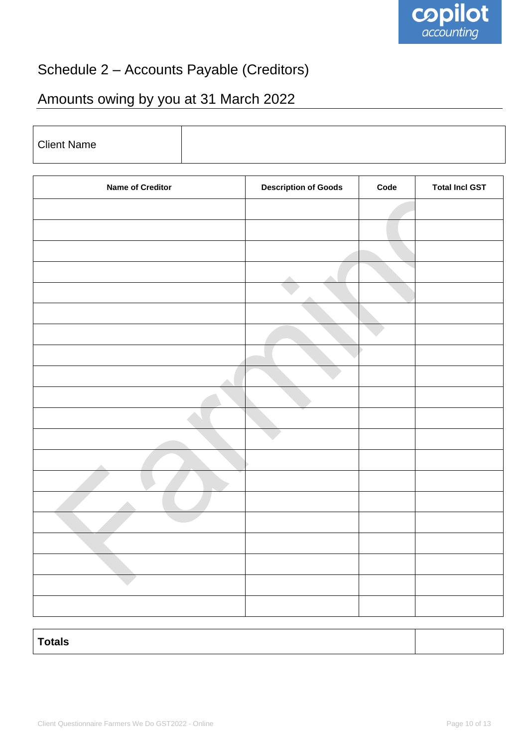

## Schedule 2 – Accounts Payable (Creditors)

## Amounts owing by you at 31 March 2022

| <b>Client Name</b>      |                             |      |                       |
|-------------------------|-----------------------------|------|-----------------------|
|                         |                             |      |                       |
| <b>Name of Creditor</b> | <b>Description of Goods</b> | Code | <b>Total Incl GST</b> |
|                         |                             |      |                       |
|                         |                             |      |                       |
|                         |                             |      |                       |
|                         |                             |      |                       |
|                         |                             |      |                       |
|                         |                             |      |                       |
|                         |                             |      |                       |
|                         |                             |      |                       |
|                         |                             |      |                       |
|                         |                             |      |                       |
|                         |                             |      |                       |
|                         |                             |      |                       |
|                         |                             |      |                       |
|                         |                             |      |                       |
|                         |                             |      |                       |
|                         |                             |      |                       |
|                         |                             |      |                       |
|                         |                             |      |                       |
|                         |                             |      |                       |
|                         |                             |      |                       |
|                         |                             |      |                       |

| <b>Totals</b> |  |  |
|---------------|--|--|
|               |  |  |
|               |  |  |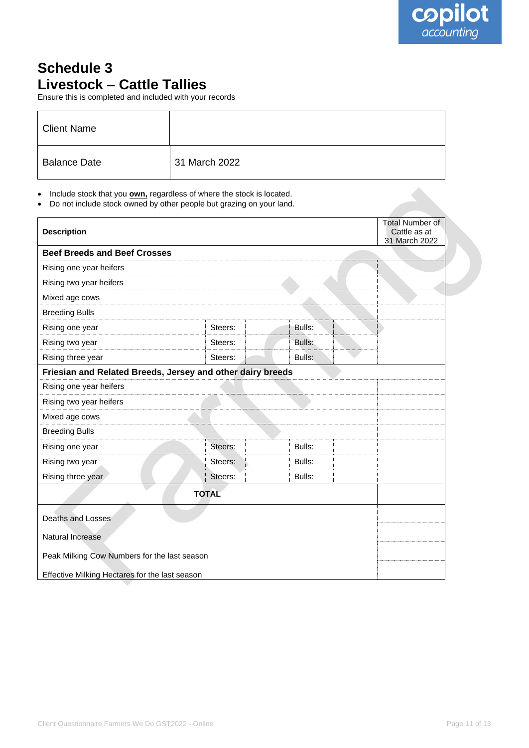## **Schedule 3 Livestock – Cattle Tallies**

Ensure this is completed and included with your records

| <b>Client Name</b>  |               |
|---------------------|---------------|
| <b>Balance Date</b> | 31 March 2022 |

• Include stock that you **own,** regardless of where the stock is located.

• Do not include stock owned by other people but grazing on your land.

| <b>Description</b>                                         |              |        | <b>Total Number of</b><br>Cattle as at<br>31 March 2022 |
|------------------------------------------------------------|--------------|--------|---------------------------------------------------------|
| <b>Beef Breeds and Beef Crosses</b>                        |              |        |                                                         |
| Rising one year heifers                                    |              |        |                                                         |
| Rising two year heifers                                    |              |        |                                                         |
| Mixed age cows                                             |              |        |                                                         |
| <b>Breeding Bulls</b>                                      |              |        |                                                         |
| Rising one year                                            | Steers:      | Bulls: |                                                         |
| Rising two year                                            | Steers:      | Bulls: |                                                         |
| Rising three year                                          | Steers:      | Bulls: |                                                         |
| Friesian and Related Breeds, Jersey and other dairy breeds |              |        |                                                         |
| Rising one year heifers                                    |              |        |                                                         |
| Rising two year heifers                                    |              |        |                                                         |
| Mixed age cows                                             |              |        |                                                         |
| <b>Breeding Bulls</b>                                      |              |        |                                                         |
| Rising one year                                            | Steers:      | Bulls: |                                                         |
| Rising two year                                            | Steers:      | Bulls: |                                                         |
| Rising three year                                          | Steers:      | Bulls: |                                                         |
|                                                            | <b>TOTAL</b> |        |                                                         |
| Deaths and Losses                                          |              |        |                                                         |
| Natural Increase                                           |              |        |                                                         |
| Peak Milking Cow Numbers for the last season               |              |        |                                                         |
| Effective Milking Hectares for the last season             |              |        |                                                         |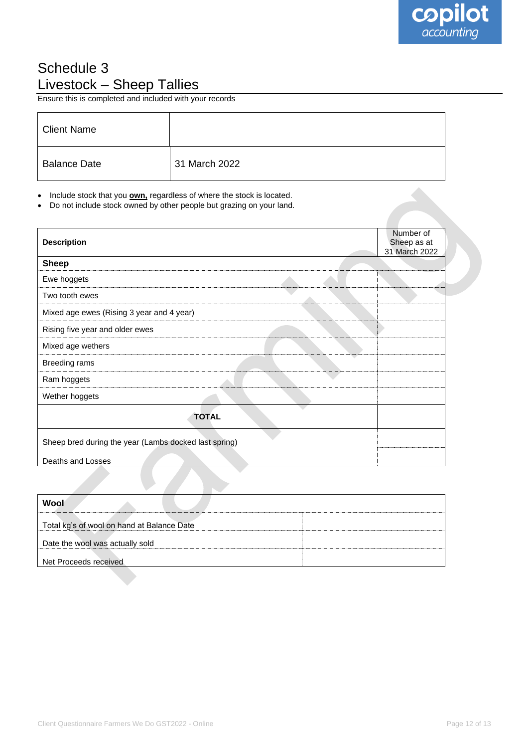## Schedule 3 Livestock – Sheep Tallies

Ensure this is completed and included with your records

| <b>Client Name</b>  |               |
|---------------------|---------------|
| <b>Balance Date</b> | 31 March 2022 |

• Include stock that you **own,** regardless of where the stock is located.

• Do not include stock owned by other people but grazing on your land.

| <b>Description</b>                                    | Number of<br>Sheep as at<br>31 March 2022 |
|-------------------------------------------------------|-------------------------------------------|
| <b>Sheep</b>                                          |                                           |
| Ewe hoggets                                           |                                           |
| Two tooth ewes                                        |                                           |
| Mixed age ewes (Rising 3 year and 4 year)             |                                           |
| Rising five year and older ewes                       |                                           |
| Mixed age wethers                                     |                                           |
| Breeding rams                                         |                                           |
| Ram hoggets                                           |                                           |
| Wether hoggets                                        |                                           |
| <b>TOTAL</b>                                          |                                           |
| Sheep bred during the year (Lambs docked last spring) |                                           |
| Deaths and Losses                                     |                                           |
|                                                       |                                           |

| Wool                                       |  |
|--------------------------------------------|--|
| Total kg's of wool on hand at Balance Date |  |
| Date the wool was actually sold            |  |
| Net Proceeds received                      |  |